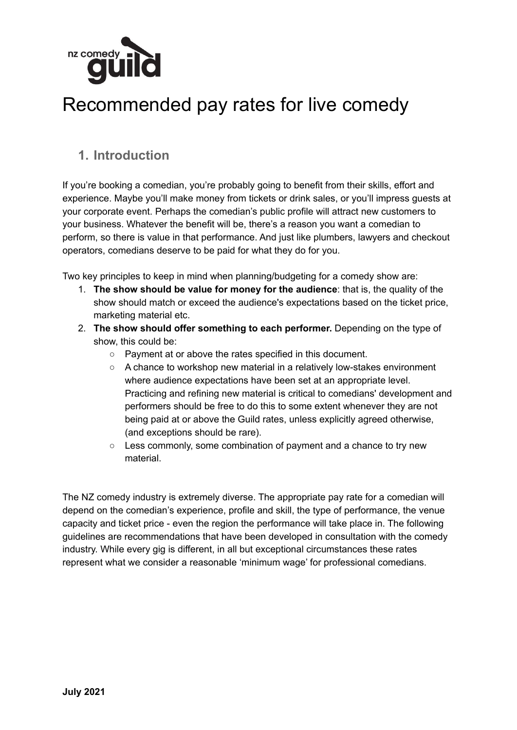

# Recommended pay rates for live comedy

### **1. Introduction**

If you're booking a comedian, you're probably going to benefit from their skills, effort and experience. Maybe you'll make money from tickets or drink sales, or you'll impress guests at your corporate event. Perhaps the comedian's public profile will attract new customers to your business. Whatever the benefit will be, there's a reason you want a comedian to perform, so there is value in that performance. And just like plumbers, lawyers and checkout operators, comedians deserve to be paid for what they do for you.

Two key principles to keep in mind when planning/budgeting for a comedy show are:

- 1. **The show should be value for money for the audience**: that is, the quality of the show should match or exceed the audience's expectations based on the ticket price, marketing material etc.
- 2. **The show should offer something to each performer.** Depending on the type of show, this could be:
	- Payment at or above the rates specified in this document.
	- A chance to workshop new material in a relatively low-stakes environment where audience expectations have been set at an appropriate level. Practicing and refining new material is critical to comedians' development and performers should be free to do this to some extent whenever they are not being paid at or above the Guild rates, unless explicitly agreed otherwise, (and exceptions should be rare).
	- Less commonly, some combination of payment and a chance to try new material.

The NZ comedy industry is extremely diverse. The appropriate pay rate for a comedian will depend on the comedian's experience, profile and skill, the type of performance, the venue capacity and ticket price - even the region the performance will take place in. The following guidelines are recommendations that have been developed in consultation with the comedy industry. While every gig is different, in all but exceptional circumstances these rates represent what we consider a reasonable 'minimum wage' for professional comedians.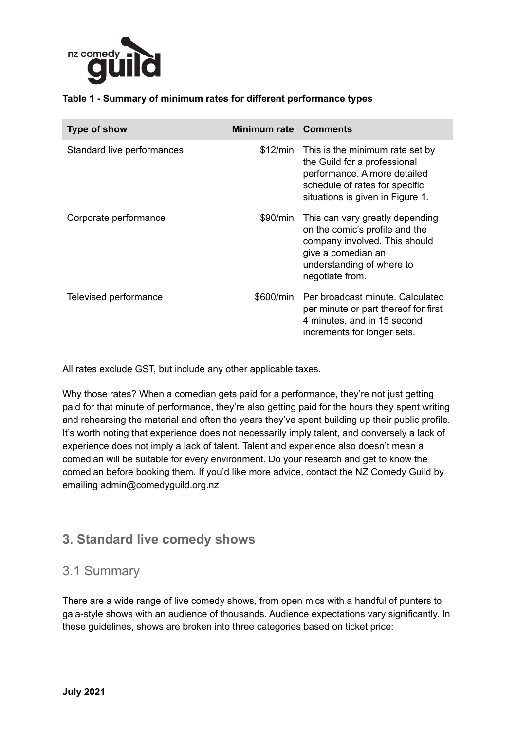

#### **Table 1 - Summary of minimum rates for different performance types**

| Type of show               | <b>Minimum rate Comments</b> |                                                                                                                                                                          |
|----------------------------|------------------------------|--------------------------------------------------------------------------------------------------------------------------------------------------------------------------|
| Standard live performances | \$12/min                     | This is the minimum rate set by<br>the Guild for a professional<br>performance. A more detailed<br>schedule of rates for specific<br>situations is given in Figure 1.    |
| Corporate performance      | \$90/min                     | This can vary greatly depending<br>on the comic's profile and the<br>company involved. This should<br>give a comedian an<br>understanding of where to<br>negotiate from. |
| Televised performance      | \$600/min                    | Per broadcast minute. Calculated<br>per minute or part thereof for first<br>4 minutes, and in 15 second<br>increments for longer sets.                                   |

All rates exclude GST, but include any other applicable taxes.

Why those rates? When a comedian gets paid for a performance, they're not just getting paid for that minute of performance, they're also getting paid for the hours they spent writing and rehearsing the material and often the years they've spent building up their public profile. It's worth noting that experience does not necessarily imply talent, and conversely a lack of experience does not imply a lack of talent. Talent and experience also doesn't mean a comedian will be suitable for every environment. Do your research and get to know the comedian before booking them. If you'd like more advice, contact the NZ Comedy Guild by emailing admin@comedyguild.org.nz

### **3. Standard live comedy shows**

#### 3.1 Summary

There are a wide range of live comedy shows, from open mics with a handful of punters to gala-style shows with an audience of thousands. Audience expectations vary significantly. In these guidelines, shows are broken into three categories based on ticket price: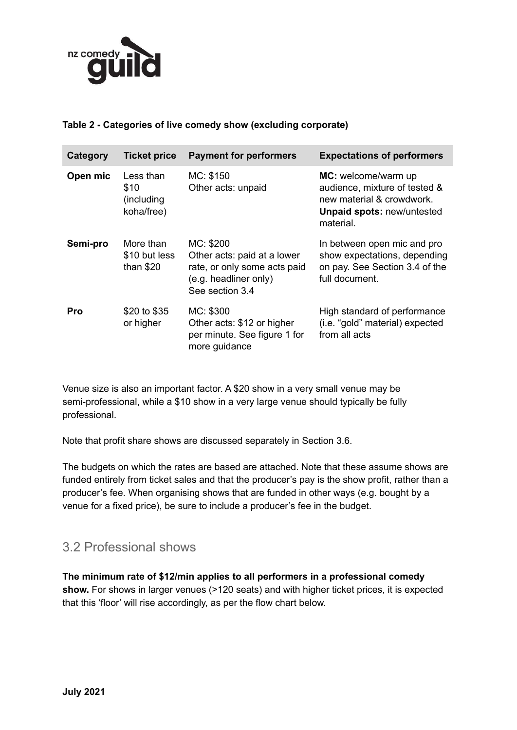

#### **Table 2 - Categories of live comedy show (excluding corporate)**

| Category   | <b>Ticket price</b>                            | <b>Payment for performers</b>                                                                                        | <b>Expectations of performers</b>                                                                                                   |
|------------|------------------------------------------------|----------------------------------------------------------------------------------------------------------------------|-------------------------------------------------------------------------------------------------------------------------------------|
| Open mic   | Less than<br>\$10<br>(including)<br>koha/free) | MC: \$150<br>Other acts: unpaid                                                                                      | MC: welcome/warm up<br>audience, mixture of tested &<br>new material & crowdwork.<br><b>Unpaid spots: new/untested</b><br>material. |
| Semi-pro   | More than<br>\$10 but less<br>than $$20$       | MC: \$200<br>Other acts: paid at a lower<br>rate, or only some acts paid<br>(e.g. headliner only)<br>See section 3.4 | In between open mic and pro<br>show expectations, depending<br>on pay. See Section 3.4 of the<br>full document.                     |
| <b>Pro</b> | \$20 to \$35<br>or higher                      | MC: \$300<br>Other acts: \$12 or higher<br>per minute. See figure 1 for<br>more guidance                             | High standard of performance<br>(i.e. "gold" material) expected<br>from all acts                                                    |

Venue size is also an important factor. A \$20 show in a very small venue may be semi-professional, while a \$10 show in a very large venue should typically be fully professional.

Note that profit share shows are discussed separately in Section 3.6.

The budgets on which the rates are based are attached. Note that these assume shows are funded entirely from ticket sales and that the producer's pay is the show profit, rather than a producer's fee. When organising shows that are funded in other ways (e.g. bought by a venue for a fixed price), be sure to include a producer's fee in the budget.

### 3.2 Professional shows

**The minimum rate of \$12/min applies to all performers in a professional comedy** show. For shows in larger venues (>120 seats) and with higher ticket prices, it is expected that this 'floor' will rise accordingly, as per the flow chart below.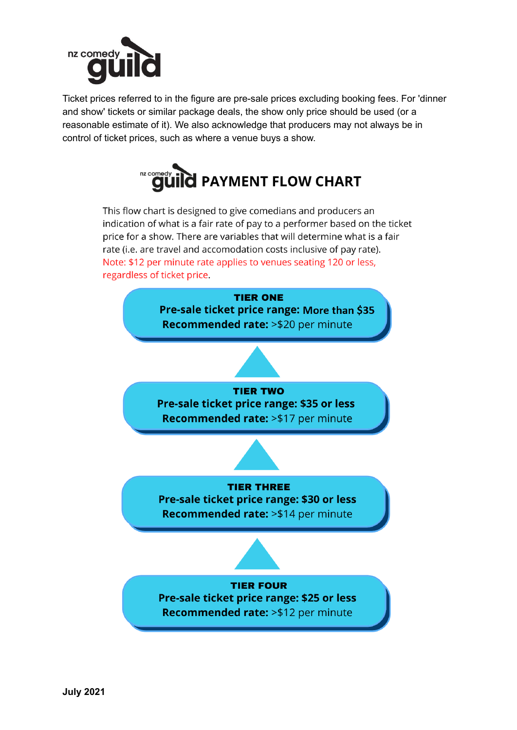

Ticket prices referred to in the figure are pre-sale prices excluding booking fees. For 'dinner and show' tickets or similar package deals, the show only price should be used (or a reasonable estimate of it). We also acknowledge that producers may not always be in control of ticket prices, such as where a venue buys a show.



This flow chart is designed to give comedians and producers an indication of what is a fair rate of pay to a performer based on the ticket price for a show. There are variables that will determine what is a fair rate (i.e. are travel and accomodation costs inclusive of pay rate). Note: \$12 per minute rate applies to venues seating 120 or less, regardless of ticket price.

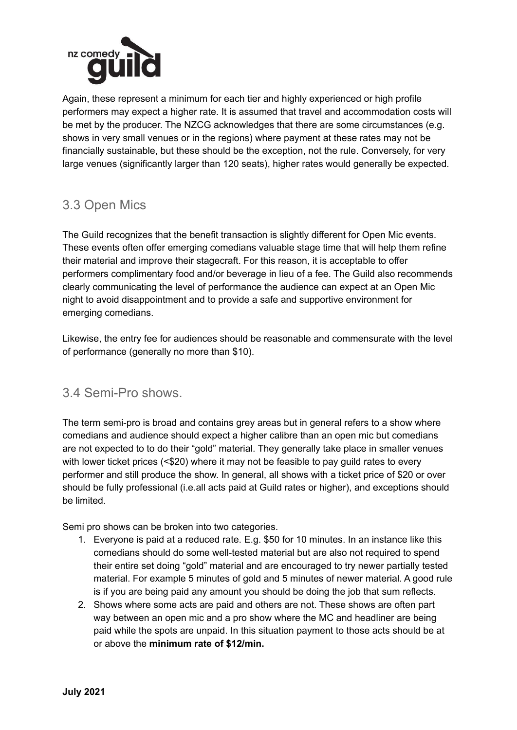

Again, these represent a minimum for each tier and highly experienced or high profile performers may expect a higher rate. It is assumed that travel and accommodation costs will be met by the producer. The NZCG acknowledges that there are some circumstances (e.g. shows in very small venues or in the regions) where payment at these rates may not be financially sustainable, but these should be the exception, not the rule. Conversely, for very large venues (significantly larger than 120 seats), higher rates would generally be expected.

## 3.3 Open Mics

The Guild recognizes that the benefit transaction is slightly different for Open Mic events. These events often offer emerging comedians valuable stage time that will help them refine their material and improve their stagecraft. For this reason, it is acceptable to offer performers complimentary food and/or beverage in lieu of a fee. The Guild also recommends clearly communicating the level of performance the audience can expect at an Open Mic night to avoid disappointment and to provide a safe and supportive environment for emerging comedians.

Likewise, the entry fee for audiences should be reasonable and commensurate with the level of performance (generally no more than \$10).

#### 3.4 Semi-Pro shows.

The term semi-pro is broad and contains grey areas but in general refers to a show where comedians and audience should expect a higher calibre than an open mic but comedians are not expected to to do their "gold" material. They generally take place in smaller venues with lower ticket prices (<\$20) where it may not be feasible to pay quild rates to every performer and still produce the show. In general, all shows with a ticket price of \$20 or over should be fully professional (i.e.all acts paid at Guild rates or higher), and exceptions should be limited.

Semi pro shows can be broken into two categories.

- 1. Everyone is paid at a reduced rate. E.g. \$50 for 10 minutes. In an instance like this comedians should do some well-tested material but are also not required to spend their entire set doing "gold" material and are encouraged to try newer partially tested material. For example 5 minutes of gold and 5 minutes of newer material. A good rule is if you are being paid any amount you should be doing the job that sum reflects.
- 2. Shows where some acts are paid and others are not. These shows are often part way between an open mic and a pro show where the MC and headliner are being paid while the spots are unpaid. In this situation payment to those acts should be at or above the **minimum rate of \$12/min.**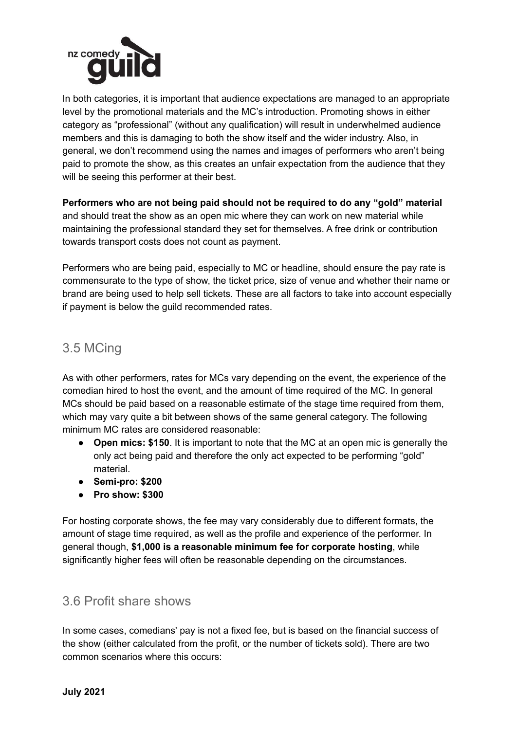

In both categories, it is important that audience expectations are managed to an appropriate level by the promotional materials and the MC's introduction. Promoting shows in either category as "professional" (without any qualification) will result in underwhelmed audience members and this is damaging to both the show itself and the wider industry. Also, in general, we don't recommend using the names and images of performers who aren't being paid to promote the show, as this creates an unfair expectation from the audience that they will be seeing this performer at their best.

**Performers who are not being paid should not be required to do any "gold" material** and should treat the show as an open mic where they can work on new material while maintaining the professional standard they set for themselves. A free drink or contribution towards transport costs does not count as payment.

Performers who are being paid, especially to MC or headline, should ensure the pay rate is commensurate to the type of show, the ticket price, size of venue and whether their name or brand are being used to help sell tickets. These are all factors to take into account especially if payment is below the guild recommended rates.

#### 3.5 MCing

As with other performers, rates for MCs vary depending on the event, the experience of the comedian hired to host the event, and the amount of time required of the MC. In general MCs should be paid based on a reasonable estimate of the stage time required from them, which may vary quite a bit between shows of the same general category. The following minimum MC rates are considered reasonable:

- **Open mics: \$150**. It is important to note that the MC at an open mic is generally the only act being paid and therefore the only act expected to be performing "gold" material.
- **● Semi-pro: \$200**
- **● Pro show: \$300**

For hosting corporate shows, the fee may vary considerably due to different formats, the amount of stage time required, as well as the profile and experience of the performer. In general though, **\$1,000 is a reasonable minimum fee for corporate hosting**, while significantly higher fees will often be reasonable depending on the circumstances.

#### 3.6 Profit share shows

In some cases, comedians' pay is not a fixed fee, but is based on the financial success of the show (either calculated from the profit, or the number of tickets sold). There are two common scenarios where this occurs: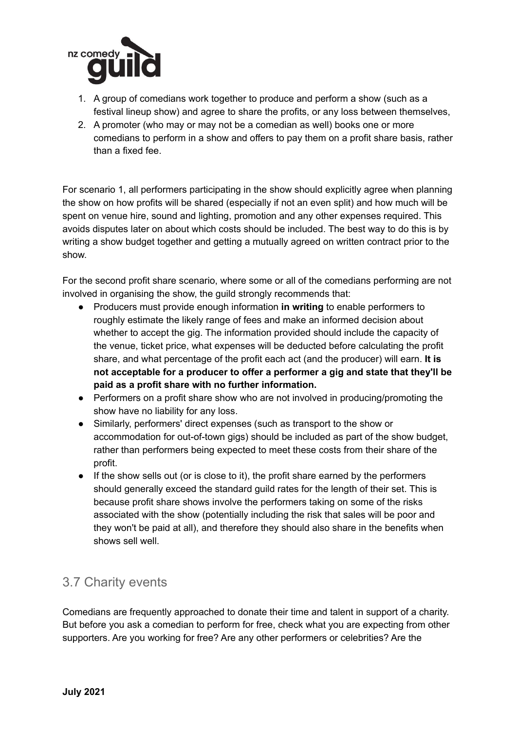

- 1. A group of comedians work together to produce and perform a show (such as a festival lineup show) and agree to share the profits, or any loss between themselves,
- 2. A promoter (who may or may not be a comedian as well) books one or more comedians to perform in a show and offers to pay them on a profit share basis, rather than a fixed fee.

For scenario 1, all performers participating in the show should explicitly agree when planning the show on how profits will be shared (especially if not an even split) and how much will be spent on venue hire, sound and lighting, promotion and any other expenses required. This avoids disputes later on about which costs should be included. The best way to do this is by writing a show budget together and getting a mutually agreed on written contract prior to the show.

For the second profit share scenario, where some or all of the comedians performing are not involved in organising the show, the guild strongly recommends that:

- Producers must provide enough information **in writing** to enable performers to roughly estimate the likely range of fees and make an informed decision about whether to accept the gig. The information provided should include the capacity of the venue, ticket price, what expenses will be deducted before calculating the profit share, and what percentage of the profit each act (and the producer) will earn. **It is not acceptable for a producer to offer a performer a gig and state that they'll be paid as a profit share with no further information.**
- Performers on a profit share show who are not involved in producing/promoting the show have no liability for any loss.
- Similarly, performers' direct expenses (such as transport to the show or accommodation for out-of-town gigs) should be included as part of the show budget, rather than performers being expected to meet these costs from their share of the profit.
- If the show sells out (or is close to it), the profit share earned by the performers should generally exceed the standard guild rates for the length of their set. This is because profit share shows involve the performers taking on some of the risks associated with the show (potentially including the risk that sales will be poor and they won't be paid at all), and therefore they should also share in the benefits when shows sell well.

# 3.7 Charity events

Comedians are frequently approached to donate their time and talent in support of a charity. But before you ask a comedian to perform for free, check what you are expecting from other supporters. Are you working for free? Are any other performers or celebrities? Are the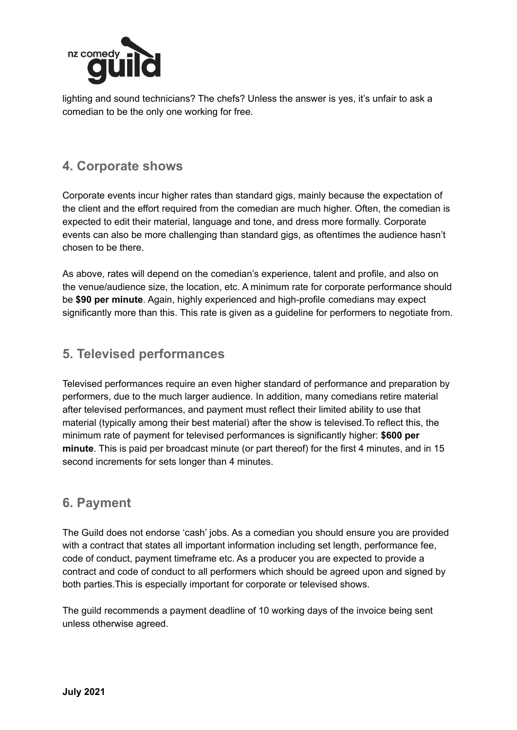

lighting and sound technicians? The chefs? Unless the answer is yes, it's unfair to ask a comedian to be the only one working for free.

#### **4. Corporate shows**

Corporate events incur higher rates than standard gigs, mainly because the expectation of the client and the effort required from the comedian are much higher. Often, the comedian is expected to edit their material, language and tone, and dress more formally. Corporate events can also be more challenging than standard gigs, as oftentimes the audience hasn't chosen to be there.

As above, rates will depend on the comedian's experience, talent and profile, and also on the venue/audience size, the location, etc. A minimum rate for corporate performance should be **\$90 per minute**. Again, highly experienced and high-profile comedians may expect significantly more than this. This rate is given as a guideline for performers to negotiate from.

#### **5. Televised performances**

Televised performances require an even higher standard of performance and preparation by performers, due to the much larger audience. In addition, many comedians retire material after televised performances, and payment must reflect their limited ability to use that material (typically among their best material) after the show is televised.To reflect this, the minimum rate of payment for televised performances is significantly higher: **\$600 per minute**. This is paid per broadcast minute (or part thereof) for the first 4 minutes, and in 15 second increments for sets longer than 4 minutes.

#### **6. Payment**

The Guild does not endorse 'cash' jobs. As a comedian you should ensure you are provided with a contract that states all important information including set length, performance fee, code of conduct, payment timeframe etc. As a producer you are expected to provide a contract and code of conduct to all performers which should be agreed upon and signed by both parties.This is especially important for corporate or televised shows.

The guild recommends a payment deadline of 10 working days of the invoice being sent unless otherwise agreed.